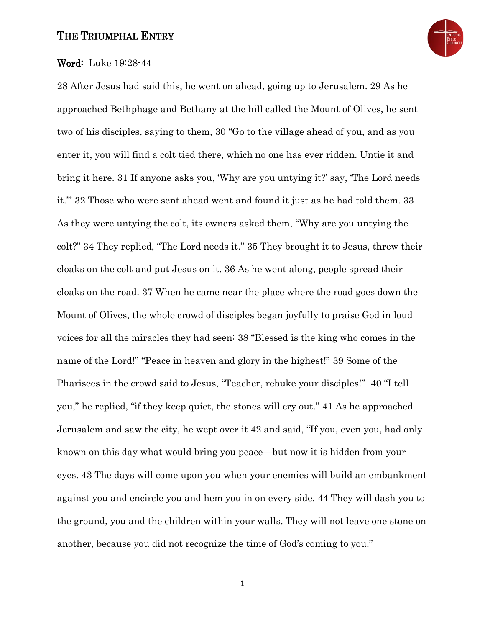### THE TRIUMPHAL ENTRY



#### Word: Luke 19:28-44

28 After Jesus had said this, he went on ahead, going up to Jerusalem. 29 As he approached Bethphage and Bethany at the hill called the Mount of Olives, he sent two of his disciples, saying to them, 30 "Go to the village ahead of you, and as you enter it, you will find a colt tied there, which no one has ever ridden. Untie it and bring it here. 31 If anyone asks you, 'Why are you untying it?' say, 'The Lord needs it.'" 32 Those who were sent ahead went and found it just as he had told them. 33 As they were untying the colt, its owners asked them, "Why are you untying the colt?" 34 They replied, "The Lord needs it." 35 They brought it to Jesus, threw their cloaks on the colt and put Jesus on it. 36 As he went along, people spread their cloaks on the road. 37 When he came near the place where the road goes down the Mount of Olives, the whole crowd of disciples began joyfully to praise God in loud voices for all the miracles they had seen: 38 "Blessed is the king who comes in the name of the Lord!" "Peace in heaven and glory in the highest!" 39 Some of the Pharisees in the crowd said to Jesus, "Teacher, rebuke your disciples!" 40 "I tell you," he replied, "if they keep quiet, the stones will cry out." 41 As he approached Jerusalem and saw the city, he wept over it 42 and said, "If you, even you, had only known on this day what would bring you peace—but now it is hidden from your eyes. 43 The days will come upon you when your enemies will build an embankment against you and encircle you and hem you in on every side. 44 They will dash you to the ground, you and the children within your walls. They will not leave one stone on another, because you did not recognize the time of God's coming to you."